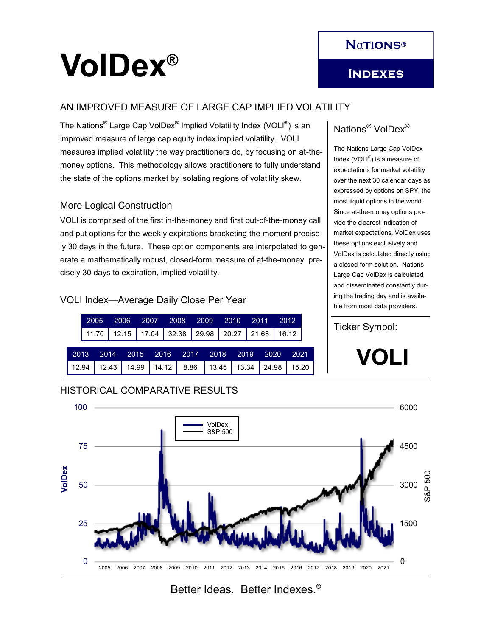# **VolDex®**

## **Indexes**

#### AN IMPROVED MEASURE OF LARGE CAP IMPLIED VOLATILITY

The Nations<sup>®</sup> Large Cap VolDex<sup>®</sup> Implied Volatility Index (VOLI<sup>®</sup>) is an improved measure of large cap equity index implied volatility. VOLI measures implied volatility the way practitioners do, by focusing on at-themoney options. This methodology allows practitioners to fully understand the state of the options market by isolating regions of volatility skew.

#### More Logical Construction

VOLI is comprised of the first in-the-money and first out-of-the-money call and put options for the weekly expirations bracketing the moment precisely 30 days in the future. These option components are interpolated to generate a mathematically robust, closed-form measure of at-the-money, precisely 30 days to expiration, implied volatility.

#### VOLI Index—Average Daily Close Per Year

|                                                                      |  |  |  |  |  |  |  |  |  |  |  |  | 2005 2006 2007 2008 2009 2010 2011 2012 |                                                               |  |  |  |
|----------------------------------------------------------------------|--|--|--|--|--|--|--|--|--|--|--|--|-----------------------------------------|---------------------------------------------------------------|--|--|--|
|                                                                      |  |  |  |  |  |  |  |  |  |  |  |  |                                         | 11.70   12.15   17.04   32.38   29.98   20.27   21.68   16.12 |  |  |  |
|                                                                      |  |  |  |  |  |  |  |  |  |  |  |  |                                         | 2013 2014 2015 2016 2017 2018 2019 2020 2021                  |  |  |  |
| 12.94   12.43   14.99   14.12   8.86   13.45   13.34   24.98   15.20 |  |  |  |  |  |  |  |  |  |  |  |  |                                         |                                                               |  |  |  |

## Nations® VolDex®

The Nations Large Cap VolDex Index (VOLI $^{\circledR}$ ) is a measure of expectations for market volatility over the next 30 calendar days as expressed by options on SPY, the most liquid options in the world. Since at-the-money options provide the clearest indication of market expectations, VolDex uses these options exclusively and VolDex is calculated directly using a closed-form solution. Nations Large Cap VolDex is calculated and disseminated constantly during the trading day and is available from most data providers.

#### Ticker Symbol:

**VOLI**



## Better Ideas. Better Indexes.®